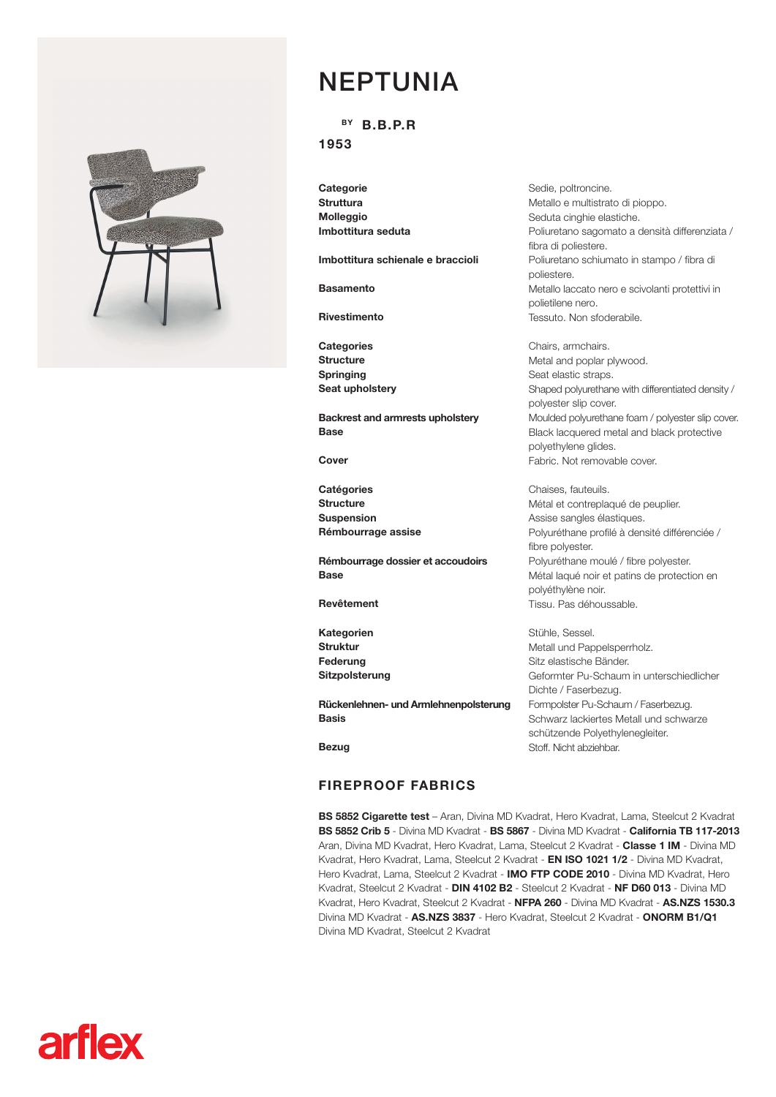

**arflex** 

## NEPTUNIA

 $BY$  B.B.P.R

1953

**Categorie** Struttura Molleggio Imbottitura seduta

Imbottitura schienale e braccioli

Basamento

Rivestimento

**Categories Structure** Springing Seat upholstery

Backrest and armrests upholstery Base

Cover

**Catégories Structure** Suspension Rémbourrage assise

Rémbourrage dossier et accoudoirs Base

Revêtement

Kategorien Struktur Federung Sitzpolsterung

Rückenlehnen- und Armlehnenpolsterung Basis

Sedie, poltroncine. Metallo e multistrato di pioppo. Seduta cinghie elastiche. Poliuretano sagomato a densità differenziata / fibra di poliestere. Poliuretano schiumato in stampo / fibra di poliestere. Metallo laccato nero e scivolanti protettivi in polietilene nero. Tessuto. Non sfoderabile.

Chairs, armchairs. Metal and poplar plywood. Seat elastic straps. Shaped polyurethane with differentiated density / polyester slip cover. Moulded polyurethane foam / polyester slip cover. Black lacquered metal and black protective polyethylene glides. Fabric. Not removable cover.

Chaises, fauteuils. Métal et contreplaqué de peuplier. Assise sangles élastiques. Polyuréthane profilé à densité différenciée / fibre polyester. Polyuréthane moulé / fibre polyester. Métal laqué noir et patins de protection en polyéthylène noir. Tissu. Pas déhoussable.

Stühle, Sessel. Metall und Pappelsperrholz. Sitz elastische Bänder. Geformter Pu-Schaum in unterschiedlicher Dichte / Faserbezug. Formpolster Pu-Schaum / Faserbezug. Schwarz lackiertes Metall und schwarze schützende Polyethylenegleiter. Stoff. Nicht abziehbar.

Bezug

## FIREPROOF FABRICS

BS 5852 Cigarette test - Aran, Divina MD Kvadrat, Hero Kvadrat, Lama, Steelcut 2 Kvadrat BS 5852 Crib 5 - Divina MD Kvadrat - BS 5867 - Divina MD Kvadrat - California TB 117-2013 Aran, Divina MD Kvadrat, Hero Kvadrat, Lama, Steelcut 2 Kvadrat - Classe 1 IM - Divina MD Kvadrat, Hero Kvadrat, Lama, Steelcut 2 Kvadrat - EN ISO 1021 1/2 - Divina MD Kvadrat, Hero Kvadrat, Lama, Steelcut 2 Kvadrat - IMO FTP CODE 2010 - Divina MD Kvadrat, Hero Kvadrat, Steelcut 2 Kvadrat - DIN 4102 B2 - Steelcut 2 Kvadrat - NF D60 013 - Divina MD Kvadrat, Hero Kvadrat, Steelcut 2 Kvadrat - NFPA 260 - Divina MD Kvadrat - AS.NZS 1530.3 Divina MD Kvadrat - AS.NZS 3837 - Hero Kvadrat, Steelcut 2 Kvadrat - ONORM B1/Q1 Divina MD Kvadrat, Steelcut 2 Kvadrat